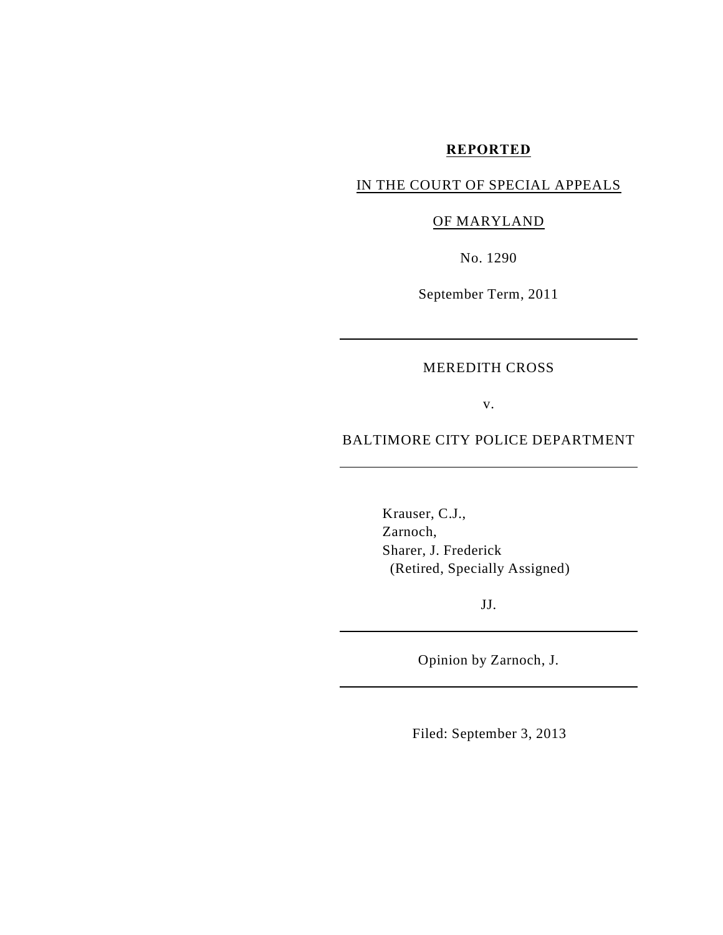### **REPORTED**

# IN THE COURT OF SPECIAL APPEALS

# OF MARYLAND

No. 1290

September Term, 2011

## MEREDITH CROSS

v.

## BALTIMORE CITY POLICE DEPARTMENT

Krauser, C.J., Zarnoch, Sharer, J. Frederick (Retired, Specially Assigned)

JJ.

Opinion by Zarnoch, J.

Filed: September 3, 2013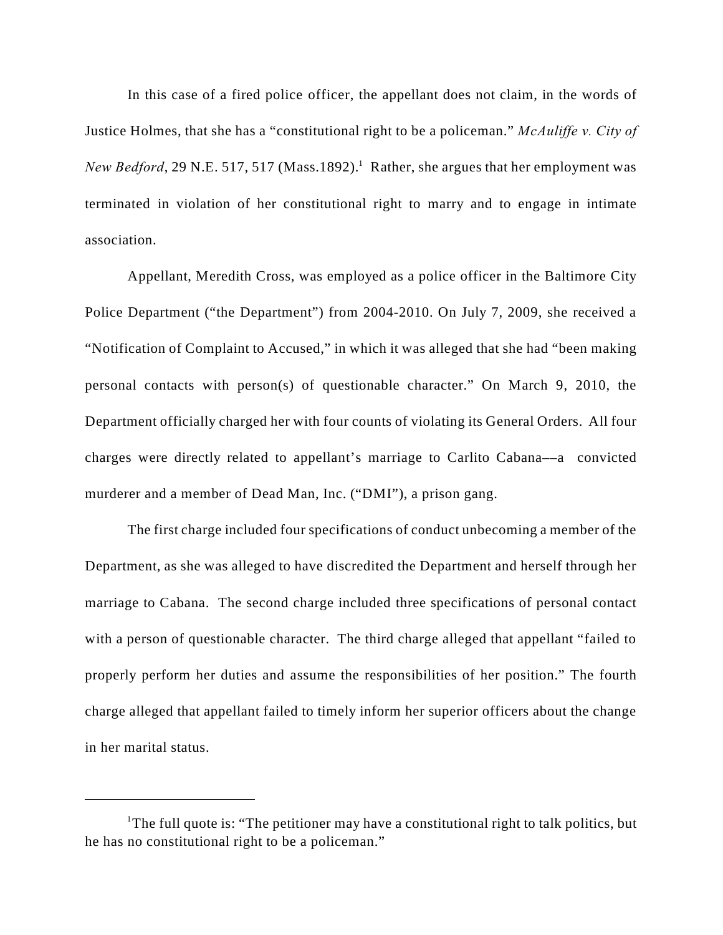In this case of a fired police officer, the appellant does not claim, in the words of Justice Holmes, that she has a "constitutional right to be a policeman." *McAuliffe v. City of New Bedford*, 29 N.E. 517, 517 (Mass.1892).<sup>1</sup> Rather, she argues that her employment was terminated in violation of her constitutional right to marry and to engage in intimate association.

Appellant, Meredith Cross, was employed as a police officer in the Baltimore City Police Department ("the Department") from 2004-2010. On July 7, 2009, she received a "Notification of Complaint to Accused," in which it was alleged that she had "been making personal contacts with person(s) of questionable character." On March 9, 2010, the Department officially charged her with four counts of violating its General Orders. All four charges were directly related to appellant's marriage to Carlito Cabana––a convicted murderer and a member of Dead Man, Inc. ("DMI"), a prison gang.

The first charge included four specifications of conduct unbecoming a member of the Department, as she was alleged to have discredited the Department and herself through her marriage to Cabana. The second charge included three specifications of personal contact with a person of questionable character. The third charge alleged that appellant "failed to properly perform her duties and assume the responsibilities of her position." The fourth charge alleged that appellant failed to timely inform her superior officers about the change in her marital status.

<sup>&</sup>lt;sup>1</sup>The full quote is: "The petitioner may have a constitutional right to talk politics, but he has no constitutional right to be a policeman."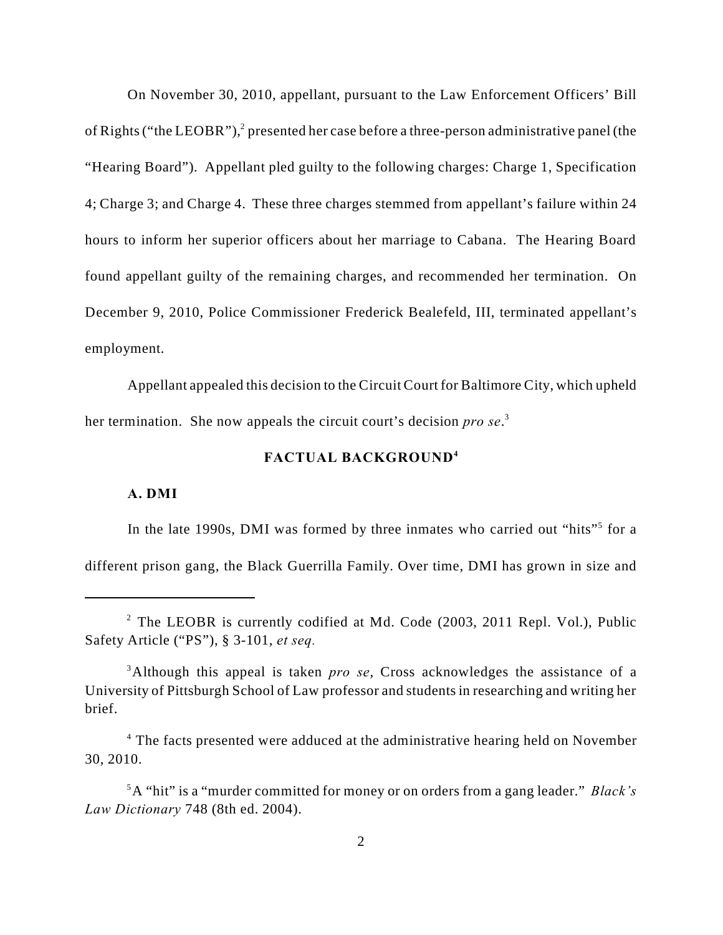On November 30, 2010, appellant, pursuant to the Law Enforcement Officers' Bill of Rights ("the LEOBR"),<sup>2</sup> presented her case before a three-person administrative panel (the "Hearing Board"). Appellant pled guilty to the following charges: Charge 1, Specification 4; Charge 3; and Charge 4. These three charges stemmed from appellant's failure within 24 hours to inform her superior officers about her marriage to Cabana. The Hearing Board found appellant guilty of the remaining charges, and recommended her termination. On December 9, 2010, Police Commissioner Frederick Bealefeld, III, terminated appellant's employment.

Appellant appealed this decision to the Circuit Court for Baltimore City, which upheld her termination. She now appeals the circuit court's decision *pro se*.<sup>3</sup>

# **FACTUAL BACKGROUND<sup>4</sup>**

### **A. DMI**

In the late 1990s, DMI was formed by three inmates who carried out "hits"<sup>5</sup> for a different prison gang, the Black Guerrilla Family. Over time, DMI has grown in size and

 $2$  The LEOBR is currently codified at Md. Code (2003, 2011 Repl. Vol.), Public Safety Article ("PS"), § 3-101, *et seq.* 

<sup>&</sup>lt;sup>3</sup>Although this appeal is taken *pro se*, Cross acknowledges the assistance of a University of Pittsburgh School of Law professor and students in researching and writing her brief.

<sup>&</sup>lt;sup>4</sup> The facts presented were adduced at the administrative hearing held on November 30, 2010.

<sup>&</sup>lt;sup>5</sup>A "hit" is a "murder committed for money or on orders from a gang leader." *Black's Law Dictionary* 748 (8th ed. 2004).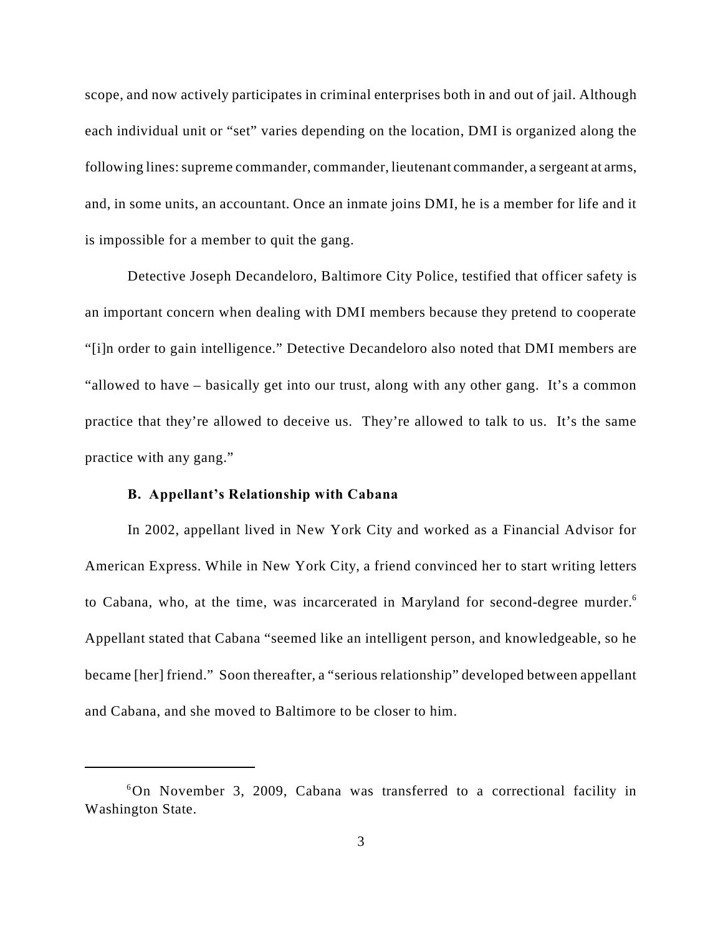scope, and now actively participates in criminal enterprises both in and out of jail. Although each individual unit or "set" varies depending on the location, DMI is organized along the following lines: supreme commander, commander, lieutenant commander, a sergeant at arms, and, in some units, an accountant. Once an inmate joins DMI, he is a member for life and it is impossible for a member to quit the gang.

Detective Joseph Decandeloro, Baltimore City Police, testified that officer safety is an important concern when dealing with DMI members because they pretend to cooperate "[i]n order to gain intelligence." Detective Decandeloro also noted that DMI members are "allowed to have – basically get into our trust, along with any other gang. It's a common practice that they're allowed to deceive us. They're allowed to talk to us. It's the same practice with any gang."

## **B. Appellant's Relationship with Cabana**

In 2002, appellant lived in New York City and worked as a Financial Advisor for American Express. While in New York City, a friend convinced her to start writing letters to Cabana, who, at the time, was incarcerated in Maryland for second-degree murder.<sup>6</sup> Appellant stated that Cabana "seemed like an intelligent person, and knowledgeable, so he became [her] friend." Soon thereafter, a "serious relationship" developed between appellant and Cabana, and she moved to Baltimore to be closer to him.

 $6$ On November 3, 2009, Cabana was transferred to a correctional facility in Washington State.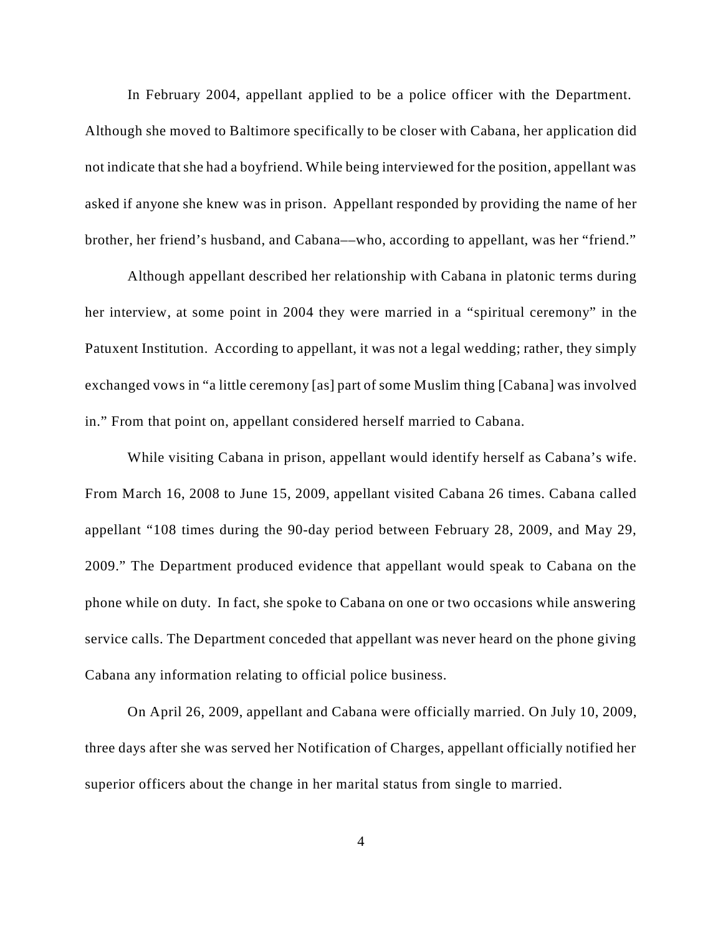In February 2004, appellant applied to be a police officer with the Department. Although she moved to Baltimore specifically to be closer with Cabana, her application did not indicate that she had a boyfriend. While being interviewed for the position, appellant was asked if anyone she knew was in prison. Appellant responded by providing the name of her brother, her friend's husband, and Cabana––who, according to appellant, was her "friend."

Although appellant described her relationship with Cabana in platonic terms during her interview, at some point in 2004 they were married in a "spiritual ceremony" in the Patuxent Institution. According to appellant, it was not a legal wedding; rather, they simply exchanged vows in "a little ceremony [as] part of some Muslim thing [Cabana] was involved in." From that point on, appellant considered herself married to Cabana.

While visiting Cabana in prison, appellant would identify herself as Cabana's wife. From March 16, 2008 to June 15, 2009, appellant visited Cabana 26 times. Cabana called appellant "108 times during the 90-day period between February 28, 2009, and May 29, 2009." The Department produced evidence that appellant would speak to Cabana on the phone while on duty. In fact, she spoke to Cabana on one or two occasions while answering service calls. The Department conceded that appellant was never heard on the phone giving Cabana any information relating to official police business.

On April 26, 2009, appellant and Cabana were officially married. On July 10, 2009, three days after she was served her Notification of Charges, appellant officially notified her superior officers about the change in her marital status from single to married.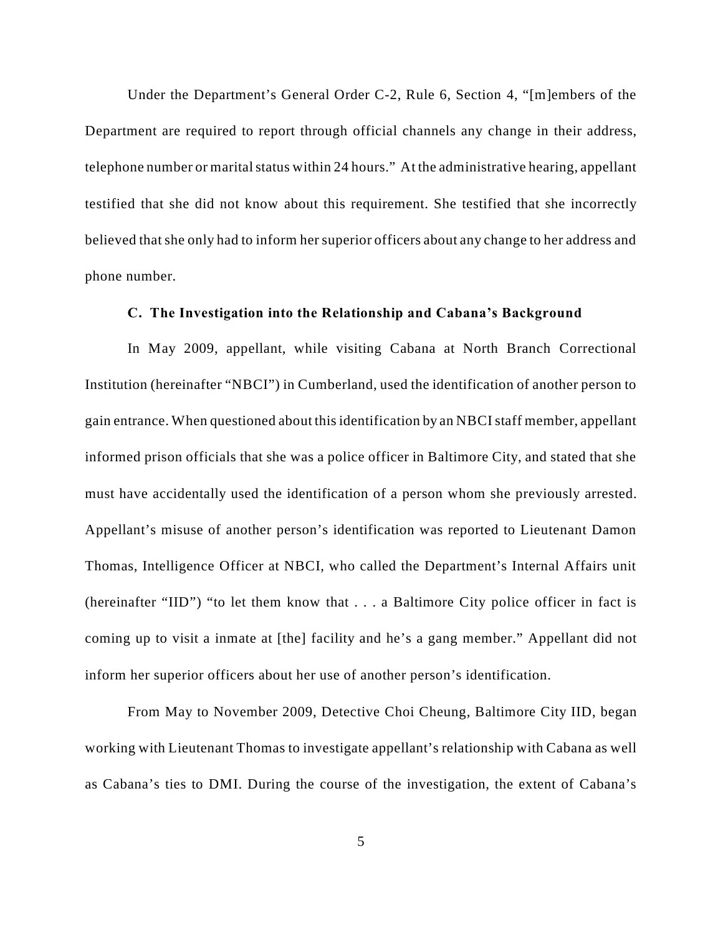Under the Department's General Order C-2, Rule 6, Section 4, "[m]embers of the Department are required to report through official channels any change in their address, telephone number or marital status within 24 hours." At the administrative hearing, appellant testified that she did not know about this requirement. She testified that she incorrectly believed that she only had to inform her superior officers about any change to her address and phone number.

## **C. The Investigation into the Relationship and Cabana's Background**

In May 2009, appellant, while visiting Cabana at North Branch Correctional Institution (hereinafter "NBCI") in Cumberland, used the identification of another person to gain entrance. When questioned about this identification by an NBCI staff member, appellant informed prison officials that she was a police officer in Baltimore City, and stated that she must have accidentally used the identification of a person whom she previously arrested. Appellant's misuse of another person's identification was reported to Lieutenant Damon Thomas, Intelligence Officer at NBCI, who called the Department's Internal Affairs unit (hereinafter "IID") "to let them know that . . . a Baltimore City police officer in fact is coming up to visit a inmate at [the] facility and he's a gang member." Appellant did not inform her superior officers about her use of another person's identification.

From May to November 2009, Detective Choi Cheung, Baltimore City IID, began working with Lieutenant Thomas to investigate appellant's relationship with Cabana as well as Cabana's ties to DMI. During the course of the investigation, the extent of Cabana's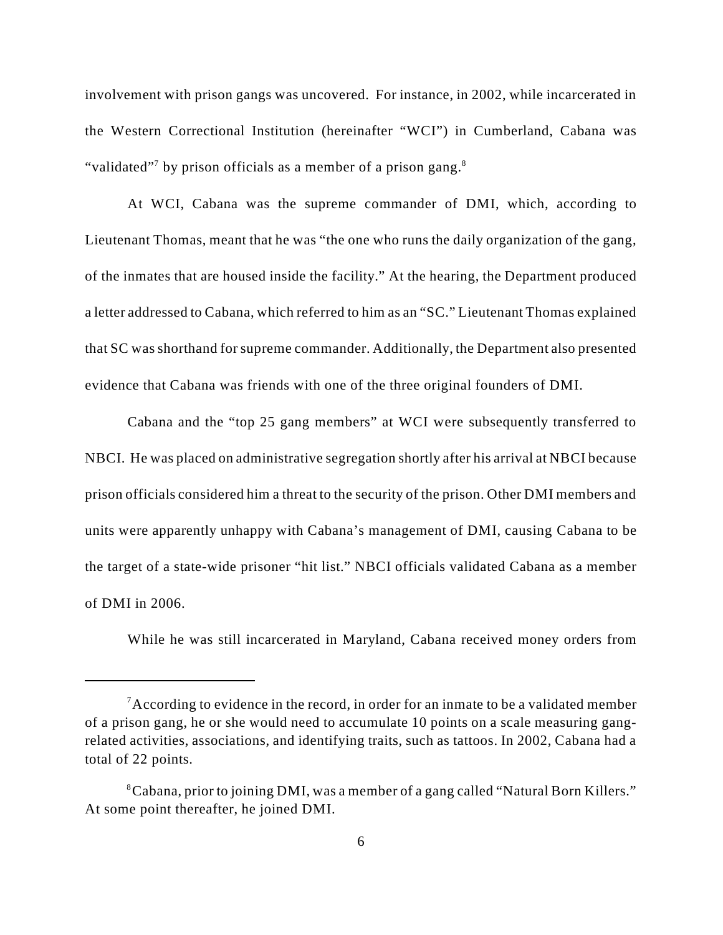involvement with prison gangs was uncovered. For instance, in 2002, while incarcerated in the Western Correctional Institution (hereinafter "WCI") in Cumberland, Cabana was "validated"<sup>7</sup> by prison officials as a member of a prison gang.<sup>8</sup>

At WCI, Cabana was the supreme commander of DMI, which, according to Lieutenant Thomas, meant that he was "the one who runs the daily organization of the gang, of the inmates that are housed inside the facility." At the hearing, the Department produced a letter addressed to Cabana, which referred to him as an "SC." Lieutenant Thomas explained that SC was shorthand for supreme commander. Additionally, the Department also presented evidence that Cabana was friends with one of the three original founders of DMI.

Cabana and the "top 25 gang members" at WCI were subsequently transferred to NBCI. He was placed on administrative segregation shortly after his arrival at NBCI because prison officials considered him a threat to the security of the prison. Other DMI members and units were apparently unhappy with Cabana's management of DMI, causing Cabana to be the target of a state-wide prisoner "hit list." NBCI officials validated Cabana as a member of DMI in 2006.

While he was still incarcerated in Maryland, Cabana received money orders from

<sup>&</sup>lt;sup>7</sup> According to evidence in the record, in order for an inmate to be a validated member of a prison gang, he or she would need to accumulate 10 points on a scale measuring gangrelated activities, associations, and identifying traits, such as tattoos. In 2002, Cabana had a total of 22 points.

Cabana, prior to joining DMI, was a member of a gang called "Natural Born Killers." <sup>8</sup> At some point thereafter, he joined DMI.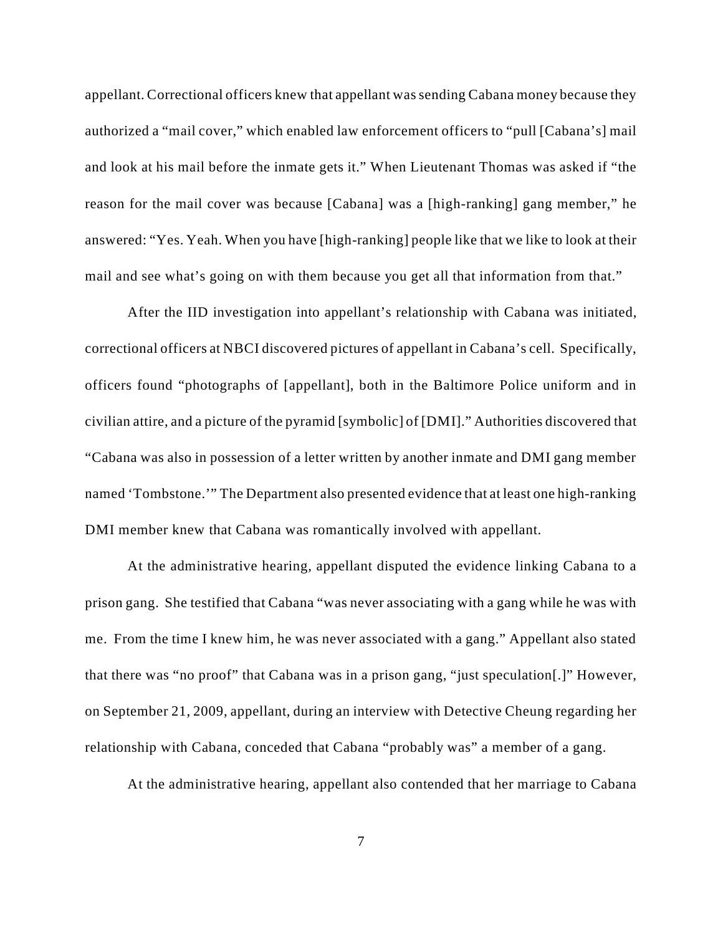appellant. Correctional officers knew that appellant was sending Cabana money because they authorized a "mail cover," which enabled law enforcement officers to "pull [Cabana's] mail and look at his mail before the inmate gets it." When Lieutenant Thomas was asked if "the reason for the mail cover was because [Cabana] was a [high-ranking] gang member," he answered: "Yes. Yeah. When you have [high-ranking] people like that we like to look at their mail and see what's going on with them because you get all that information from that."

After the IID investigation into appellant's relationship with Cabana was initiated, correctional officers at NBCI discovered pictures of appellant in Cabana's cell. Specifically, officers found "photographs of [appellant], both in the Baltimore Police uniform and in civilian attire, and a picture of the pyramid [symbolic] of [DMI]." Authorities discovered that "Cabana was also in possession of a letter written by another inmate and DMI gang member named 'Tombstone.'" The Department also presented evidence that at least one high-ranking DMI member knew that Cabana was romantically involved with appellant.

At the administrative hearing, appellant disputed the evidence linking Cabana to a prison gang. She testified that Cabana "was never associating with a gang while he was with me. From the time I knew him, he was never associated with a gang." Appellant also stated that there was "no proof" that Cabana was in a prison gang, "just speculation[.]" However, on September 21, 2009, appellant, during an interview with Detective Cheung regarding her relationship with Cabana, conceded that Cabana "probably was" a member of a gang.

At the administrative hearing, appellant also contended that her marriage to Cabana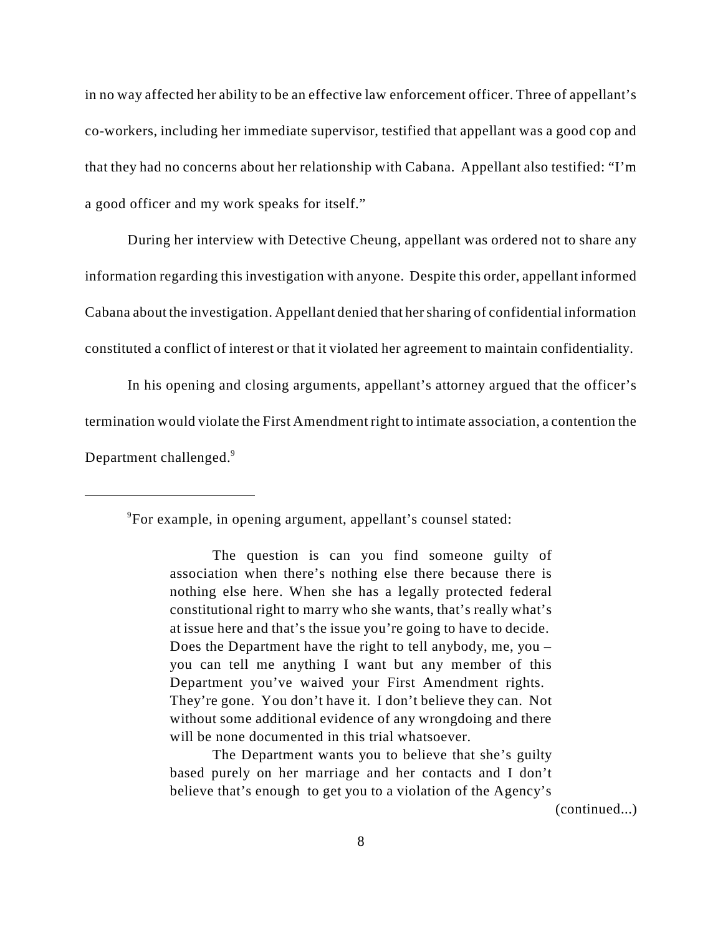in no way affected her ability to be an effective law enforcement officer. Three of appellant's co-workers, including her immediate supervisor, testified that appellant was a good cop and that they had no concerns about her relationship with Cabana. Appellant also testified: "I'm a good officer and my work speaks for itself."

During her interview with Detective Cheung, appellant was ordered not to share any information regarding this investigation with anyone. Despite this order, appellant informed Cabana about the investigation. Appellant denied that her sharing of confidential information constituted a conflict of interest or that it violated her agreement to maintain confidentiality.

In his opening and closing arguments, appellant's attorney argued that the officer's termination would violate the First Amendment right to intimate association, a contention the Department challenged.<sup>9</sup>

<sup>9</sup>For example, in opening argument, appellant's counsel stated:

The question is can you find someone guilty of association when there's nothing else there because there is nothing else here. When she has a legally protected federal constitutional right to marry who she wants, that's really what's at issue here and that's the issue you're going to have to decide. Does the Department have the right to tell anybody, me, you – you can tell me anything I want but any member of this Department you've waived your First Amendment rights. They're gone. You don't have it. I don't believe they can. Not without some additional evidence of any wrongdoing and there will be none documented in this trial whatsoever.

The Department wants you to believe that she's guilty based purely on her marriage and her contacts and I don't believe that's enough to get you to a violation of the Agency's

(continued...)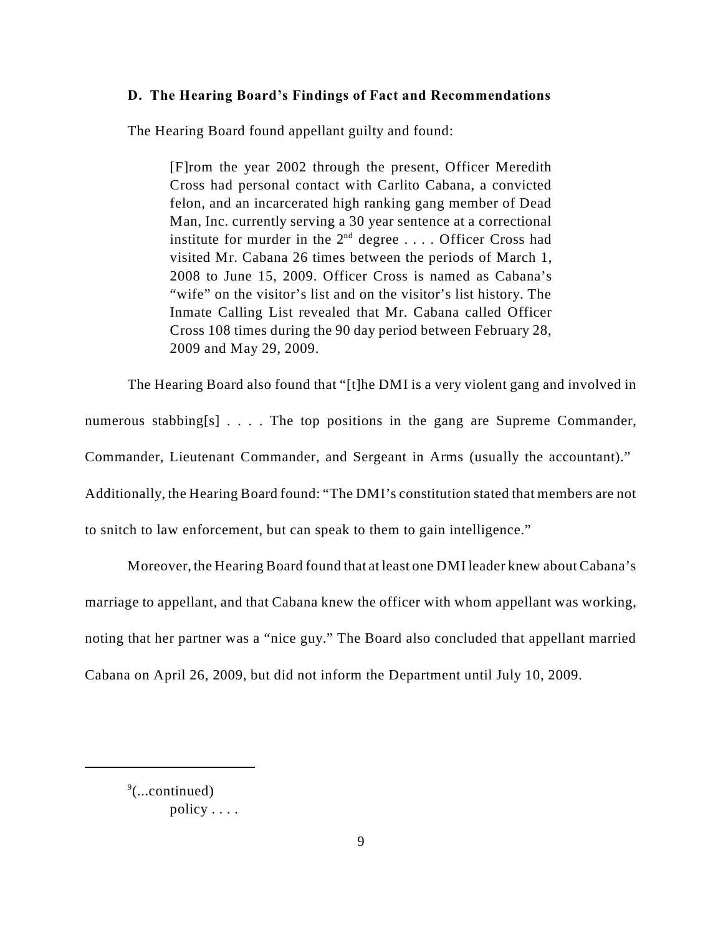### **D. The Hearing Board's Findings of Fact and Recommendations**

The Hearing Board found appellant guilty and found:

[F]rom the year 2002 through the present, Officer Meredith Cross had personal contact with Carlito Cabana, a convicted felon, and an incarcerated high ranking gang member of Dead Man, Inc. currently serving a 30 year sentence at a correctional institute for murder in the  $2<sup>nd</sup>$  degree .... Officer Cross had visited Mr. Cabana 26 times between the periods of March 1, 2008 to June 15, 2009. Officer Cross is named as Cabana's "wife" on the visitor's list and on the visitor's list history. The Inmate Calling List revealed that Mr. Cabana called Officer Cross 108 times during the 90 day period between February 28, 2009 and May 29, 2009.

The Hearing Board also found that "[t]he DMI is a very violent gang and involved in numerous stabbing[s] . . . . The top positions in the gang are Supreme Commander, Commander, Lieutenant Commander, and Sergeant in Arms (usually the accountant)." Additionally, the Hearing Board found: "The DMI's constitution stated that members are not to snitch to law enforcement, but can speak to them to gain intelligence."

Moreover, the Hearing Board found that at least one DMI leader knew about Cabana's marriage to appellant, and that Cabana knew the officer with whom appellant was working, noting that her partner was a "nice guy." The Board also concluded that appellant married Cabana on April 26, 2009, but did not inform the Department until July 10, 2009.

 $\degree$ (...continued) policy . . . .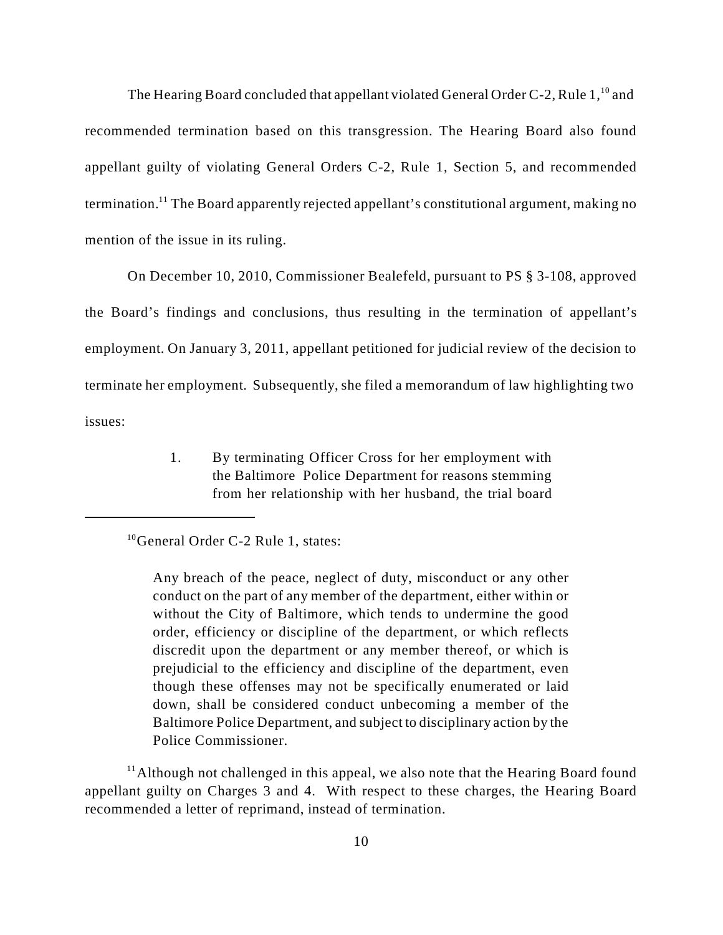The Hearing Board concluded that appellant violated General Order C-2, Rule  $1<sup>10</sup>$  and recommended termination based on this transgression. The Hearing Board also found appellant guilty of violating General Orders C-2, Rule 1, Section 5, and recommended termination.<sup>11</sup> The Board apparently rejected appellant's constitutional argument, making no mention of the issue in its ruling.

On December 10, 2010, Commissioner Bealefeld, pursuant to PS § 3-108, approved the Board's findings and conclusions, thus resulting in the termination of appellant's employment. On January 3, 2011, appellant petitioned for judicial review of the decision to terminate her employment. Subsequently, she filed a memorandum of law highlighting two issues:

> 1. By terminating Officer Cross for her employment with the Baltimore Police Department for reasons stemming from her relationship with her husband, the trial board

 $<sup>11</sup>$ Although not challenged in this appeal, we also note that the Hearing Board found</sup> appellant guilty on Charges 3 and 4. With respect to these charges, the Hearing Board recommended a letter of reprimand, instead of termination.

 $10$ General Order C-2 Rule 1, states:

Any breach of the peace, neglect of duty, misconduct or any other conduct on the part of any member of the department, either within or without the City of Baltimore, which tends to undermine the good order, efficiency or discipline of the department, or which reflects discredit upon the department or any member thereof, or which is prejudicial to the efficiency and discipline of the department, even though these offenses may not be specifically enumerated or laid down, shall be considered conduct unbecoming a member of the Baltimore Police Department, and subject to disciplinary action by the Police Commissioner.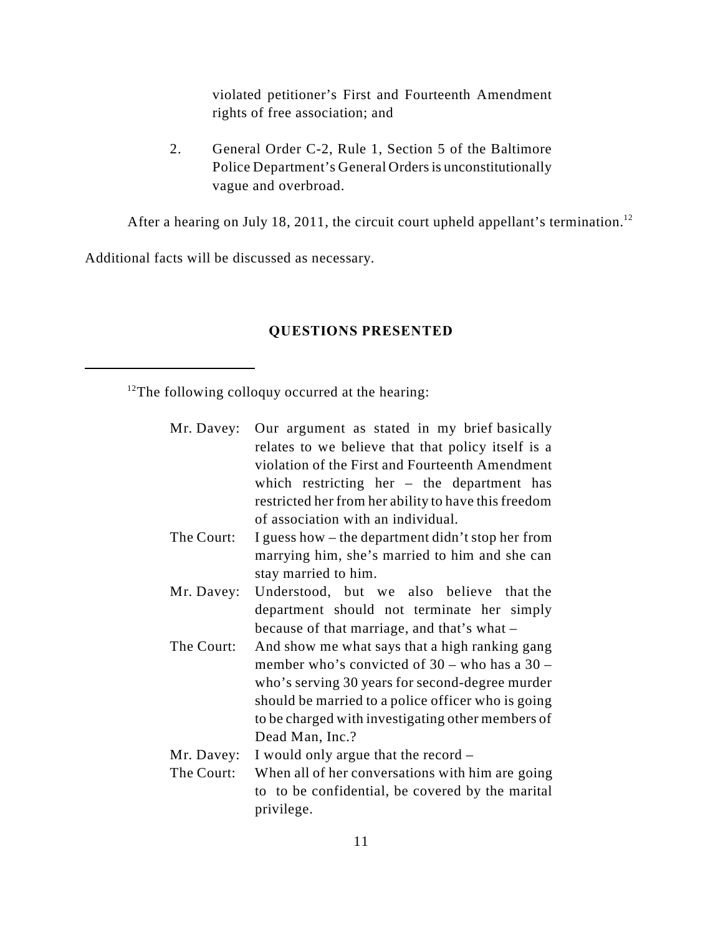violated petitioner's First and Fourteenth Amendment rights of free association; and

2. General Order C-2, Rule 1, Section 5 of the Baltimore Police Department's General Orders is unconstitutionally vague and overbroad.

After a hearing on July 18, 2011, the circuit court upheld appellant's termination.<sup>12</sup>

Additional facts will be discussed as necessary.

# **QUESTIONS PRESENTED**

 $12$ The following colloquy occurred at the hearing:

|            | Mr. Davey: Our argument as stated in my brief basically<br>relates to we believe that that policy itself is a<br>violation of the First and Fourteenth Amendment<br>which restricting her $-$ the department has<br>restricted her from her ability to have this freedom             |
|------------|--------------------------------------------------------------------------------------------------------------------------------------------------------------------------------------------------------------------------------------------------------------------------------------|
|            | of association with an individual.                                                                                                                                                                                                                                                   |
| The Court: | I guess how – the department didn't stop her from<br>marrying him, she's married to him and she can<br>stay married to him.                                                                                                                                                          |
| Mr. Davey: | Understood, but we also believe that the<br>department should not terminate her simply<br>because of that marriage, and that's what –                                                                                                                                                |
| The Court: | And show me what says that a high ranking gang<br>member who's convicted of $30 -$ who has a $30 -$<br>who's serving 30 years for second-degree murder<br>should be married to a police officer who is going<br>to be charged with investigating other members of<br>Dead Man, Inc.? |
| Mr. Davey: | I would only argue that the record –                                                                                                                                                                                                                                                 |
| The Court: | When all of her conversations with him are going<br>to to be confidential, be covered by the marital<br>privilege.                                                                                                                                                                   |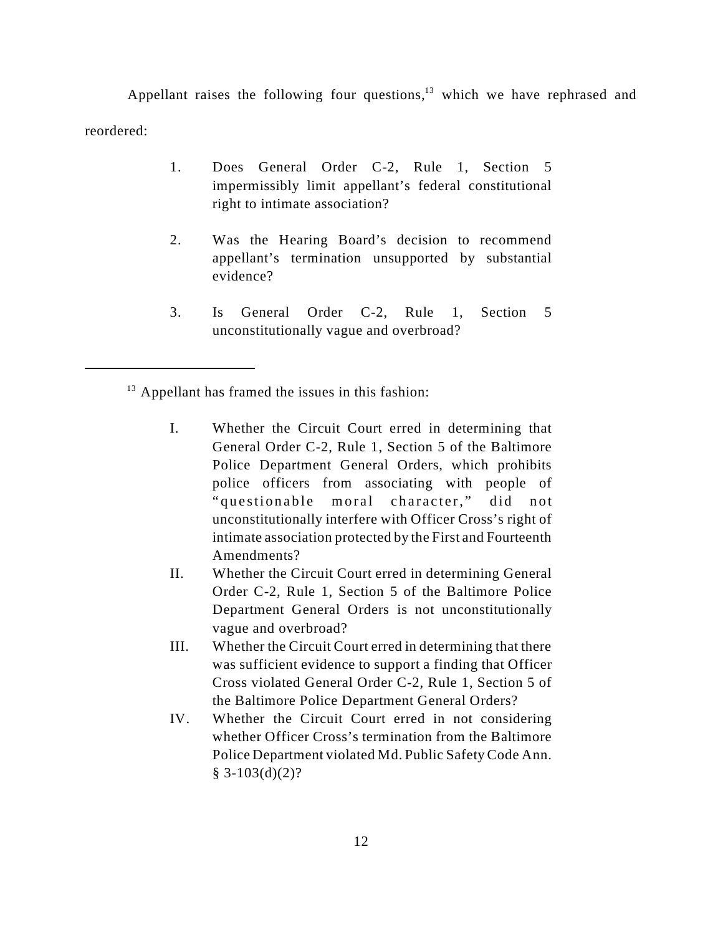Appellant raises the following four questions, $13$  which we have rephrased and reordered:

- 1. Does General Order C-2, Rule 1, Section 5 impermissibly limit appellant's federal constitutional right to intimate association?
- 2. Was the Hearing Board's decision to recommend appellant's termination unsupported by substantial evidence?
- 3. Is General Order C-2, Rule 1, Section 5 unconstitutionally vague and overbroad?

 $13$  Appellant has framed the issues in this fashion:

- I. Whether the Circuit Court erred in determining that General Order C-2, Rule 1, Section 5 of the Baltimore Police Department General Orders, which prohibits police officers from associating with people of " questionable moral character," did not unconstitutionally interfere with Officer Cross's right of intimate association protected by the First and Fourteenth Amendments?
- II. Whether the Circuit Court erred in determining General Order C-2, Rule 1, Section 5 of the Baltimore Police Department General Orders is not unconstitutionally vague and overbroad?
- III. Whether the Circuit Court erred in determining that there was sufficient evidence to support a finding that Officer Cross violated General Order C-2, Rule 1, Section 5 of the Baltimore Police Department General Orders?
- IV. Whether the Circuit Court erred in not considering whether Officer Cross's termination from the Baltimore Police Department violated Md. Public Safety Code Ann.  $§ 3-103(d)(2)?$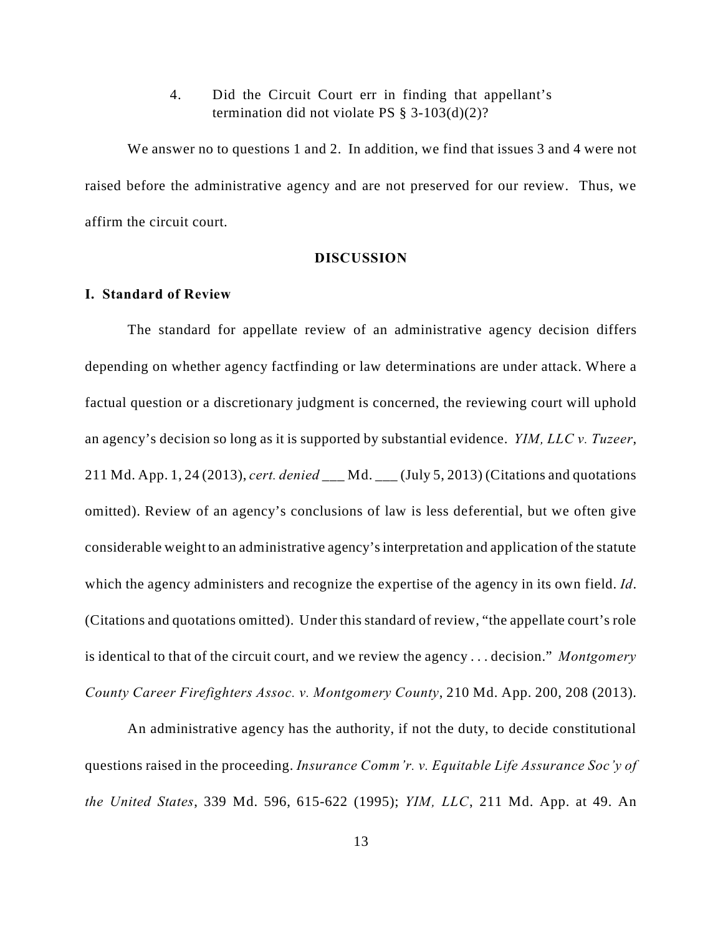4. Did the Circuit Court err in finding that appellant's termination did not violate PS  $\S$  3-103(d)(2)?

We answer no to questions 1 and 2. In addition, we find that issues 3 and 4 were not raised before the administrative agency and are not preserved for our review. Thus, we affirm the circuit court.

### **DISCUSSION**

### **I. Standard of Review**

The standard for appellate review of an administrative agency decision differs depending on whether agency factfinding or law determinations are under attack. Where a factual question or a discretionary judgment is concerned, the reviewing court will uphold an agency's decision so long as it is supported by substantial evidence. *YIM, LLC v. Tuzeer*, 211 Md. App. 1, 24 (2013), *cert. denied* \_\_\_ Md. \_\_\_ (July 5, 2013) (Citations and quotations omitted). Review of an agency's conclusions of law is less deferential, but we often give considerable weight to an administrative agency's interpretation and application of the statute which the agency administers and recognize the expertise of the agency in its own field. *Id*. (Citations and quotations omitted). Under this standard of review, "the appellate court's role is identical to that of the circuit court, and we review the agency . . . decision." *Montgomery County Career Firefighters Assoc. v. Montgomery County*, 210 Md. App. 200, 208 (2013).

An administrative agency has the authority, if not the duty, to decide constitutional questions raised in the proceeding. *Insurance Comm'r. v. Equitable Life Assurance Soc'y of the United States*, 339 Md. 596, 615-622 (1995); *YIM, LLC*, 211 Md. App. at 49. An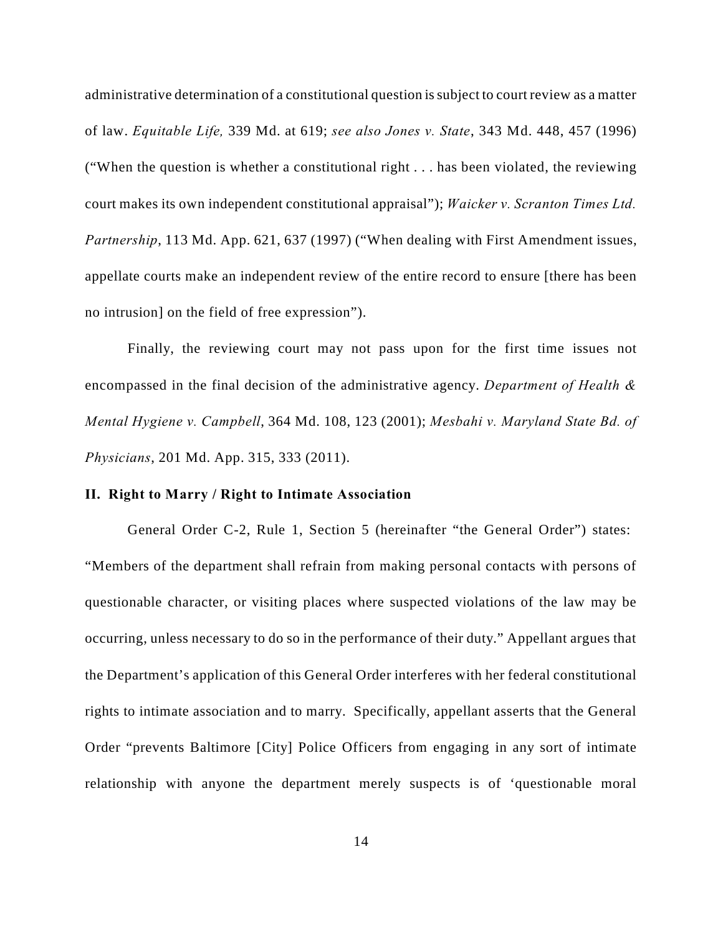administrative determination of a constitutional question is subject to court review as a matter of law. *Equitable Life,* 339 Md. at 619; *see also Jones v. State*, 343 Md. 448, 457 (1996) ("When the question is whether a constitutional right . . . has been violated, the reviewing court makes its own independent constitutional appraisal"); *Waicker v. Scranton Times Ltd. Partnership*, 113 Md. App. 621, 637 (1997) ("When dealing with First Amendment issues, appellate courts make an independent review of the entire record to ensure [there has been no intrusion] on the field of free expression").

Finally, the reviewing court may not pass upon for the first time issues not encompassed in the final decision of the administrative agency. *Department of Health & Mental Hygiene v. Campbell*, 364 Md. 108, 123 (2001); *Mesbahi v. Maryland State Bd. of Physicians*, 201 Md. App. 315, 333 (2011).

### **II. Right to Marry / Right to Intimate Association**

General Order C-2, Rule 1, Section 5 (hereinafter "the General Order") states: "Members of the department shall refrain from making personal contacts with persons of questionable character, or visiting places where suspected violations of the law may be occurring, unless necessary to do so in the performance of their duty." Appellant argues that the Department's application of this General Order interferes with her federal constitutional rights to intimate association and to marry. Specifically, appellant asserts that the General Order "prevents Baltimore [City] Police Officers from engaging in any sort of intimate relationship with anyone the department merely suspects is of 'questionable moral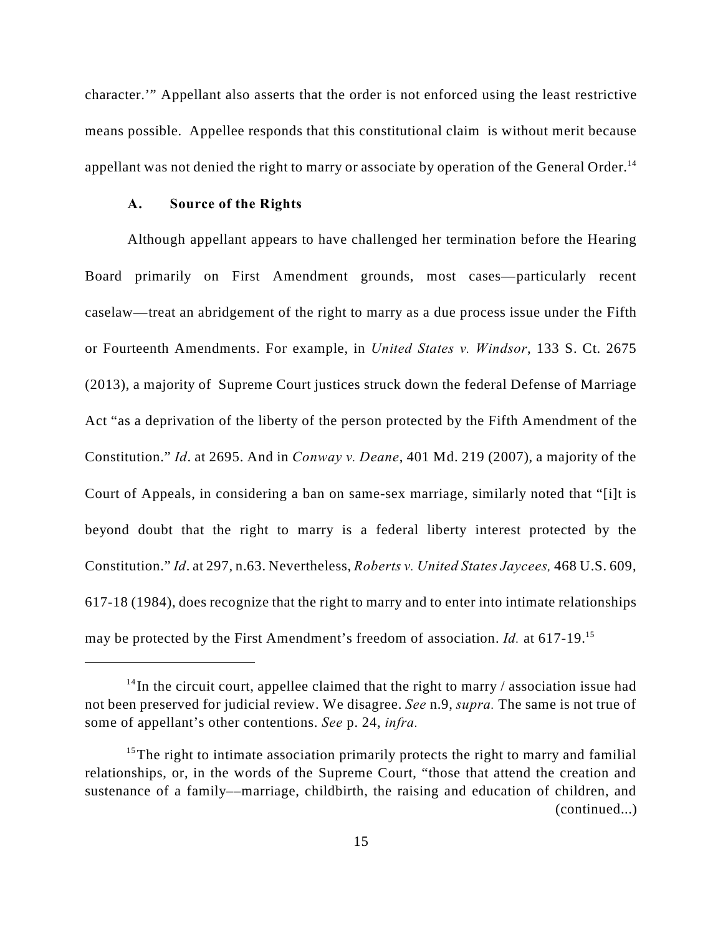character.'" Appellant also asserts that the order is not enforced using the least restrictive means possible. Appellee responds that this constitutional claim is without merit because appellant was not denied the right to marry or associate by operation of the General Order.<sup>14</sup>

### **A. Source of the Rights**

Although appellant appears to have challenged her termination before the Hearing Board primarily on First Amendment grounds, most cases—particularly recent caselaw—treat an abridgement of the right to marry as a due process issue under the Fifth or Fourteenth Amendments. For example, in *United States v. Windsor*, 133 S. Ct. 2675 (2013), a majority of Supreme Court justices struck down the federal Defense of Marriage Act "as a deprivation of the liberty of the person protected by the Fifth Amendment of the Constitution." *Id*. at 2695. And in *Conway v. Deane*, 401 Md. 219 (2007), a majority of the Court of Appeals, in considering a ban on same-sex marriage, similarly noted that "[i]t is beyond doubt that the right to marry is a federal liberty interest protected by the Constitution." *Id*. at 297, n.63. Nevertheless, *Roberts v. United States Jaycees,* 468 U.S. 609, 617-18 (1984), does recognize that the right to marry and to enter into intimate relationships may be protected by the First Amendment's freedom of association. *Id.* at 617-19.<sup>15</sup>

 $14$ In the circuit court, appellee claimed that the right to marry / association issue had not been preserved for judicial review. We disagree. *See* n.9, *supra.* The same is not true of some of appellant's other contentions. *See* p. 24, *infra.*

<sup>&</sup>lt;sup>15</sup>The right to intimate association primarily protects the right to marry and familial relationships, or, in the words of the Supreme Court, "those that attend the creation and sustenance of a family––marriage, childbirth, the raising and education of children, and (continued...)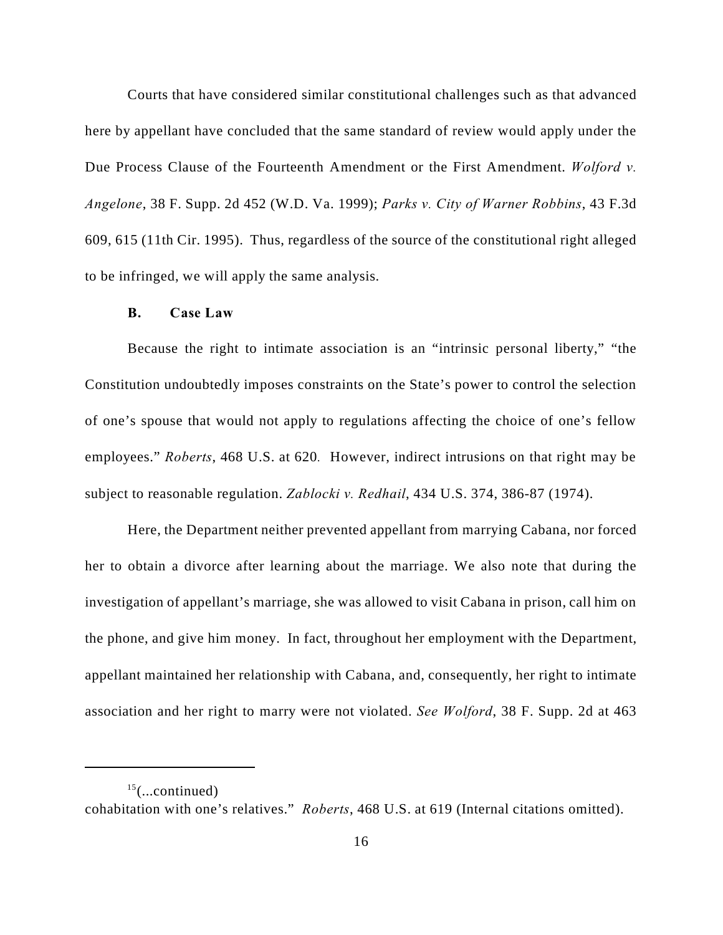Courts that have considered similar constitutional challenges such as that advanced here by appellant have concluded that the same standard of review would apply under the Due Process Clause of the Fourteenth Amendment or the First Amendment. *Wolford v. Angelone*, 38 F. Supp. 2d 452 (W.D. Va. 1999); *Parks v. City of Warner Robbins*, 43 F.3d 609, 615 (11th Cir. 1995). Thus, regardless of the source of the constitutional right alleged to be infringed, we will apply the same analysis.

### **B. Case Law**

Because the right to intimate association is an "intrinsic personal liberty," "the Constitution undoubtedly imposes constraints on the State's power to control the selection of one's spouse that would not apply to regulations affecting the choice of one's fellow employees." *Roberts*, 468 U.S. at 620*.* However, indirect intrusions on that right may be subject to reasonable regulation. *Zablocki v. Redhail*, 434 U.S. 374, 386-87 (1974).

Here, the Department neither prevented appellant from marrying Cabana, nor forced her to obtain a divorce after learning about the marriage. We also note that during the investigation of appellant's marriage, she was allowed to visit Cabana in prison, call him on the phone, and give him money. In fact, throughout her employment with the Department, appellant maintained her relationship with Cabana, and, consequently, her right to intimate association and her right to marry were not violated. *See Wolford*, 38 F. Supp. 2d at 463

 $15$ (...continued) cohabitation with one's relatives." *Roberts*, 468 U.S. at 619 (Internal citations omitted).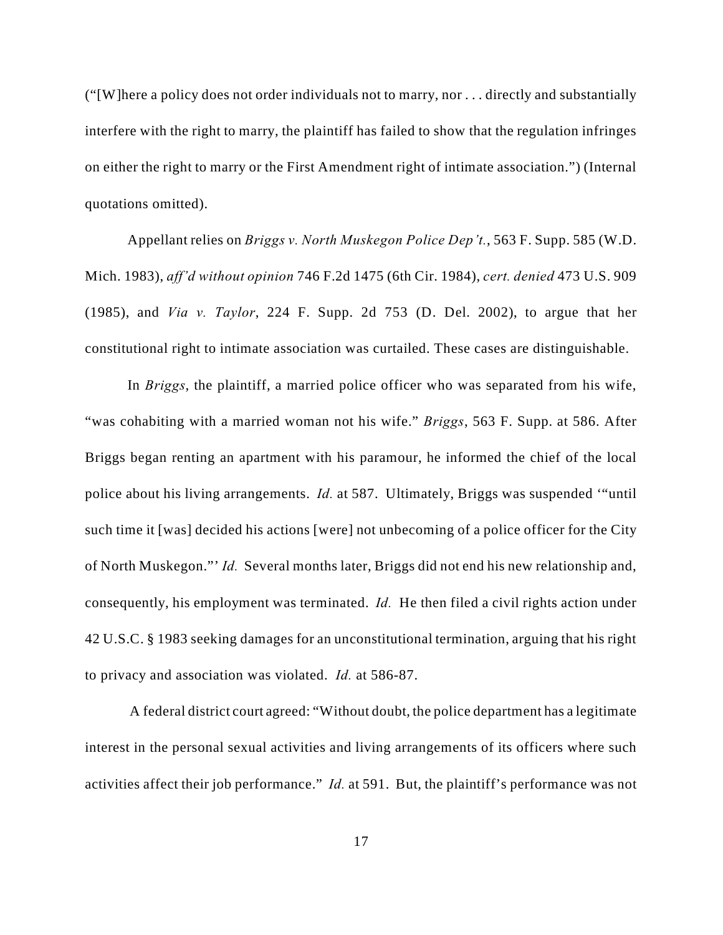("[W]here a policy does not order individuals not to marry, nor . . . directly and substantially interfere with the right to marry, the plaintiff has failed to show that the regulation infringes on either the right to marry or the First Amendment right of intimate association.") (Internal quotations omitted).

Appellant relies on *Briggs v. North Muskegon Police Dep't.*, 563 F. Supp. 585 (W.D. Mich. 1983), *aff'd without opinion* 746 F.2d 1475 (6th Cir. 1984), *cert. denied* 473 U.S. 909 (1985), and *Via v. Taylor*, 224 F. Supp. 2d 753 (D. Del. 2002), to argue that her constitutional right to intimate association was curtailed. These cases are distinguishable.

In *Briggs*, the plaintiff, a married police officer who was separated from his wife, "was cohabiting with a married woman not his wife." *Briggs*, 563 F. Supp. at 586. After Briggs began renting an apartment with his paramour, he informed the chief of the local police about his living arrangements. *Id.* at 587. Ultimately, Briggs was suspended '"until such time it [was] decided his actions [were] not unbecoming of a police officer for the City of North Muskegon."' *Id.* Several months later, Briggs did not end his new relationship and, consequently, his employment was terminated. *Id.* He then filed a civil rights action under 42 U.S.C. § 1983 seeking damages for an unconstitutional termination, arguing that his right to privacy and association was violated. *Id.* at 586-87.

 A federal district court agreed: "Without doubt, the police department has a legitimate interest in the personal sexual activities and living arrangements of its officers where such activities affect their job performance." *Id.* at 591. But, the plaintiff's performance was not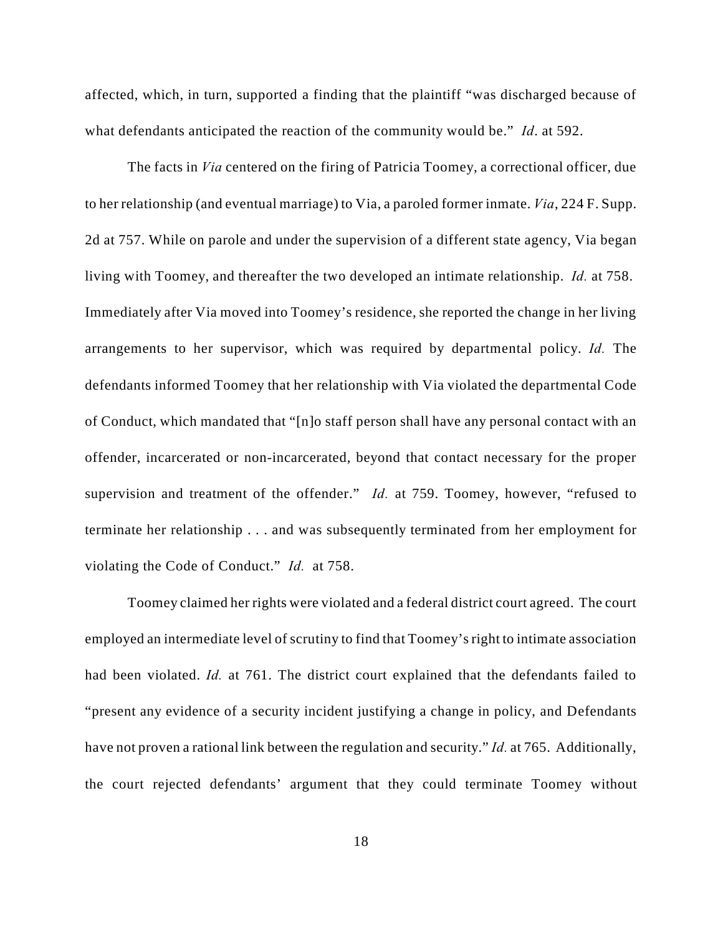affected, which, in turn, supported a finding that the plaintiff "was discharged because of what defendants anticipated the reaction of the community would be." *Id*. at 592.

The facts in *Via* centered on the firing of Patricia Toomey, a correctional officer, due to her relationship (and eventual marriage) to Via, a paroled former inmate. *Via*, 224 F. Supp. 2d at 757. While on parole and under the supervision of a different state agency, Via began living with Toomey, and thereafter the two developed an intimate relationship. *Id.* at 758. Immediately after Via moved into Toomey's residence, she reported the change in her living arrangements to her supervisor, which was required by departmental policy. *Id.* The defendants informed Toomey that her relationship with Via violated the departmental Code of Conduct, which mandated that "[n]o staff person shall have any personal contact with an offender, incarcerated or non-incarcerated, beyond that contact necessary for the proper supervision and treatment of the offender." *Id.* at 759. Toomey, however, "refused to terminate her relationship . . . and was subsequently terminated from her employment for violating the Code of Conduct." *Id.* at 758.

Toomey claimed her rights were violated and a federal district court agreed. The court employed an intermediate level of scrutiny to find that Toomey's right to intimate association had been violated. *Id.* at 761. The district court explained that the defendants failed to "present any evidence of a security incident justifying a change in policy, and Defendants have not proven a rational link between the regulation and security." *Id.* at 765. Additionally, the court rejected defendants' argument that they could terminate Toomey without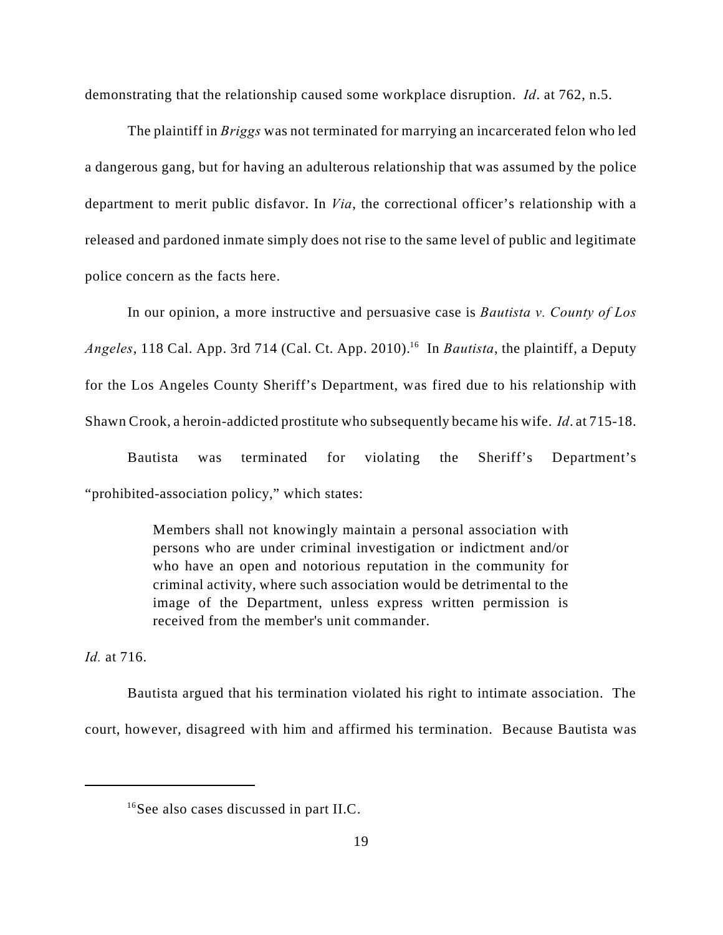demonstrating that the relationship caused some workplace disruption. *Id*. at 762, n.5.

The plaintiff in *Briggs* was not terminated for marrying an incarcerated felon who led a dangerous gang, but for having an adulterous relationship that was assumed by the police department to merit public disfavor. In *Via*, the correctional officer's relationship with a released and pardoned inmate simply does not rise to the same level of public and legitimate police concern as the facts here.

In our opinion, a more instructive and persuasive case is *Bautista v. County of Los Angeles*, 118 Cal. App. 3rd 714 (Cal. Ct. App. 2010).<sup>16</sup> In *Bautista*, the plaintiff, a Deputy for the Los Angeles County Sheriff's Department, was fired due to his relationship with Shawn Crook, a heroin-addicted prostitute who subsequently became his wife. *Id*. at 715-18.

Bautista was terminated for violating the Sheriff's Department's "prohibited-association policy," which states:

> Members shall not knowingly maintain a personal association with persons who are under criminal investigation or indictment and/or who have an open and notorious reputation in the community for criminal activity, where such association would be detrimental to the image of the Department, unless express written permission is received from the member's unit commander.

*Id.* at 716.

Bautista argued that his termination violated his right to intimate association. The court, however, disagreed with him and affirmed his termination. Because Bautista was

 $^{16}$ See also cases discussed in part II.C.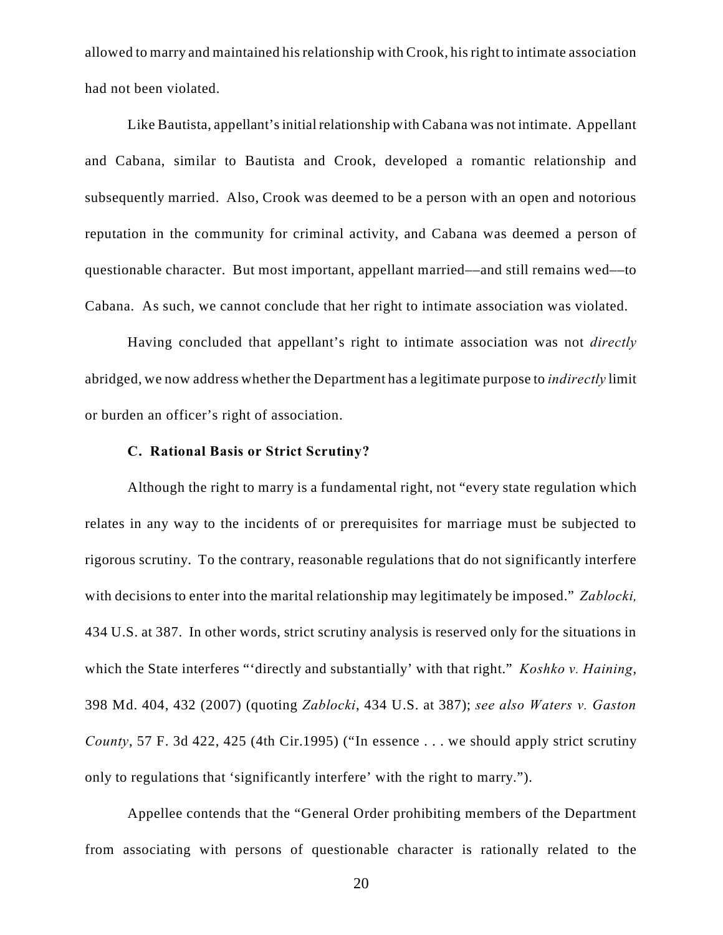allowed to marry and maintained his relationship with Crook, his right to intimate association had not been violated.

Like Bautista, appellant's initial relationship with Cabana was not intimate. Appellant and Cabana, similar to Bautista and Crook, developed a romantic relationship and subsequently married. Also, Crook was deemed to be a person with an open and notorious reputation in the community for criminal activity, and Cabana was deemed a person of questionable character. But most important, appellant married––and still remains wed––to Cabana. As such, we cannot conclude that her right to intimate association was violated.

Having concluded that appellant's right to intimate association was not *directly* abridged, we now address whether the Department has a legitimate purpose to *indirectly* limit or burden an officer's right of association.

### **C. Rational Basis or Strict Scrutiny?**

Although the right to marry is a fundamental right, not "every state regulation which relates in any way to the incidents of or prerequisites for marriage must be subjected to rigorous scrutiny. To the contrary, reasonable regulations that do not significantly interfere with decisions to enter into the marital relationship may legitimately be imposed." *Zablocki,* 434 U.S. at 387. In other words, strict scrutiny analysis is reserved only for the situations in which the State interferes "'directly and substantially' with that right." *Koshko v. Haining*, 398 Md. 404, 432 (2007) (quoting *Zablocki*, 434 U.S. at 387); *see also Waters v. Gaston County*, 57 F. 3d 422, 425 (4th Cir.1995) ("In essence . . . we should apply strict scrutiny only to regulations that 'significantly interfere' with the right to marry.").

Appellee contends that the "General Order prohibiting members of the Department from associating with persons of questionable character is rationally related to the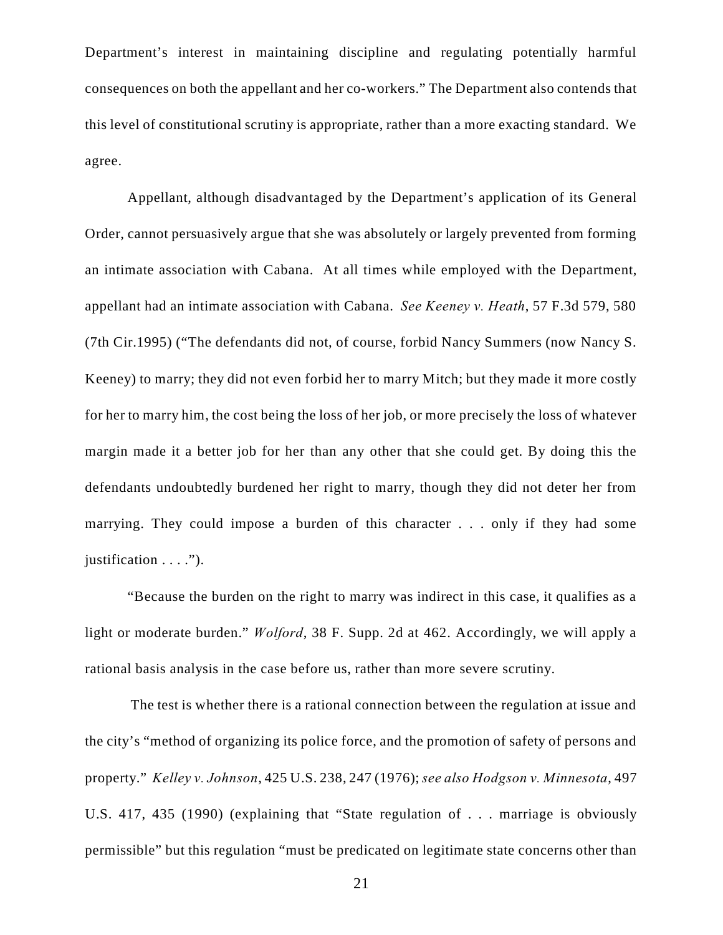Department's interest in maintaining discipline and regulating potentially harmful consequences on both the appellant and her co-workers." The Department also contends that this level of constitutional scrutiny is appropriate, rather than a more exacting standard. We agree.

Appellant, although disadvantaged by the Department's application of its General Order, cannot persuasively argue that she was absolutely or largely prevented from forming an intimate association with Cabana. At all times while employed with the Department, appellant had an intimate association with Cabana. *See Keeney v. Heath*, 57 F.3d 579, 580 (7th Cir.1995) ("The defendants did not, of course, forbid Nancy Summers (now Nancy S. Keeney) to marry; they did not even forbid her to marry Mitch; but they made it more costly for her to marry him, the cost being the loss of her job, or more precisely the loss of whatever margin made it a better job for her than any other that she could get. By doing this the defendants undoubtedly burdened her right to marry, though they did not deter her from marrying. They could impose a burden of this character . . . only if they had some justification . . . .").

"Because the burden on the right to marry was indirect in this case, it qualifies as a light or moderate burden." *Wolford*, 38 F. Supp. 2d at 462. Accordingly, we will apply a rational basis analysis in the case before us, rather than more severe scrutiny.

 The test is whether there is a rational connection between the regulation at issue and the city's "method of organizing its police force, and the promotion of safety of persons and property." *Kelley v. Johnson*, 425 U.S. 238, 247 (1976); *see also Hodgson v. Minnesota*, 497 U.S. 417, 435 (1990) (explaining that "State regulation of . . . marriage is obviously permissible" but this regulation "must be predicated on legitimate state concerns other than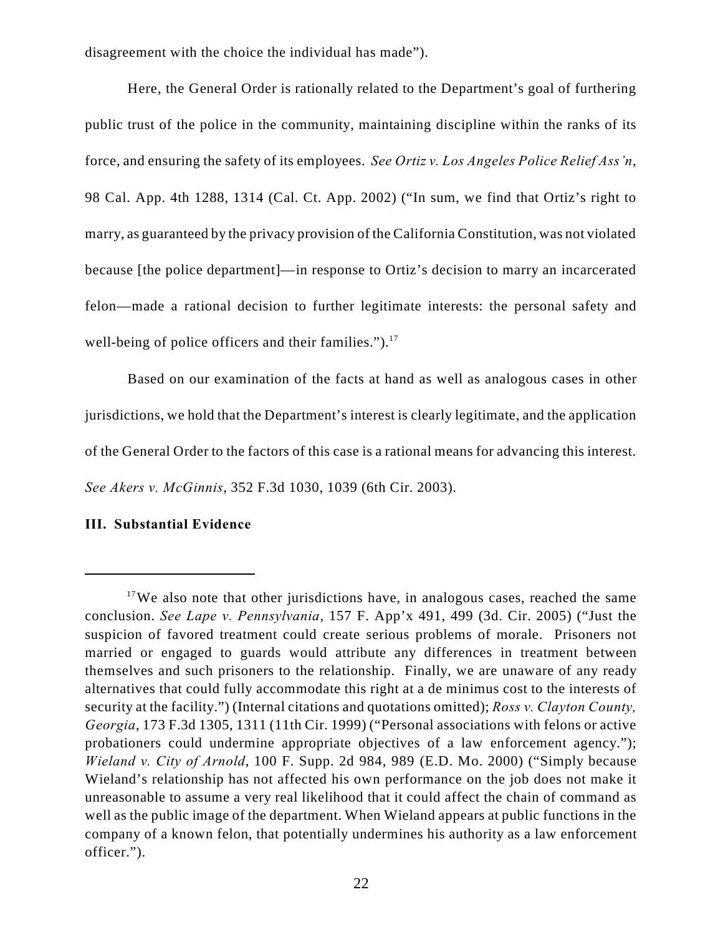disagreement with the choice the individual has made").

Here, the General Order is rationally related to the Department's goal of furthering public trust of the police in the community, maintaining discipline within the ranks of its force, and ensuring the safety of its employees. *See Ortiz v. Los Angeles Police Relief Ass'n*, 98 Cal. App. 4th 1288, 1314 (Cal. Ct. App. 2002) ("In sum, we find that Ortiz's right to marry, as guaranteed by the privacy provision of the California Constitution, was not violated because [the police department]—in response to Ortiz's decision to marry an incarcerated felon—made a rational decision to further legitimate interests: the personal safety and well-being of police officers and their families."). $17$ 

Based on our examination of the facts at hand as well as analogous cases in other jurisdictions, we hold that the Department's interest is clearly legitimate, and the application of the General Order to the factors of this case is a rational means for advancing this interest. *See Akers v. McGinnis*, 352 F.3d 1030, 1039 (6th Cir. 2003).

## **III. Substantial Evidence**

 $17$ We also note that other jurisdictions have, in analogous cases, reached the same conclusion. *See Lape v. Pennsylvania*, 157 F. App'x 491, 499 (3d. Cir. 2005) ("Just the suspicion of favored treatment could create serious problems of morale. Prisoners not married or engaged to guards would attribute any differences in treatment between themselves and such prisoners to the relationship. Finally, we are unaware of any ready alternatives that could fully accommodate this right at a de minimus cost to the interests of security at the facility.") (Internal citations and quotations omitted); *Ross v. Clayton County, Georgia*, 173 F.3d 1305, 1311 (11th Cir. 1999) ("Personal associations with felons or active probationers could undermine appropriate objectives of a law enforcement agency."); *Wieland v. City of Arnold*, 100 F. Supp. 2d 984, 989 (E.D. Mo. 2000) ("Simply because Wieland's relationship has not affected his own performance on the job does not make it unreasonable to assume a very real likelihood that it could affect the chain of command as well as the public image of the department. When Wieland appears at public functions in the company of a known felon, that potentially undermines his authority as a law enforcement officer.").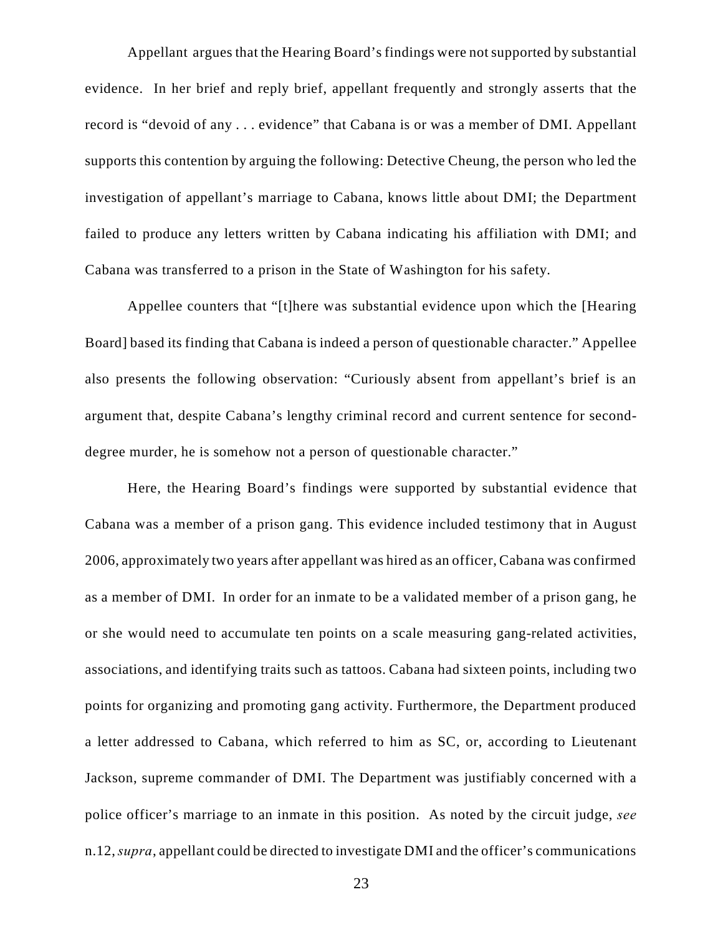Appellant argues that the Hearing Board's findings were not supported by substantial evidence. In her brief and reply brief, appellant frequently and strongly asserts that the record is "devoid of any . . . evidence" that Cabana is or was a member of DMI. Appellant supports this contention by arguing the following: Detective Cheung, the person who led the investigation of appellant's marriage to Cabana, knows little about DMI; the Department failed to produce any letters written by Cabana indicating his affiliation with DMI; and Cabana was transferred to a prison in the State of Washington for his safety.

Appellee counters that "[t]here was substantial evidence upon which the [Hearing Board] based its finding that Cabana is indeed a person of questionable character." Appellee also presents the following observation: "Curiously absent from appellant's brief is an argument that, despite Cabana's lengthy criminal record and current sentence for seconddegree murder, he is somehow not a person of questionable character."

Here, the Hearing Board's findings were supported by substantial evidence that Cabana was a member of a prison gang. This evidence included testimony that in August 2006, approximately two years after appellant was hired as an officer, Cabana was confirmed as a member of DMI. In order for an inmate to be a validated member of a prison gang, he or she would need to accumulate ten points on a scale measuring gang-related activities, associations, and identifying traits such as tattoos. Cabana had sixteen points, including two points for organizing and promoting gang activity. Furthermore, the Department produced a letter addressed to Cabana, which referred to him as SC, or, according to Lieutenant Jackson, supreme commander of DMI. The Department was justifiably concerned with a police officer's marriage to an inmate in this position. As noted by the circuit judge, *see* n.12, *supra*, appellant could be directed to investigate DMI and the officer's communications